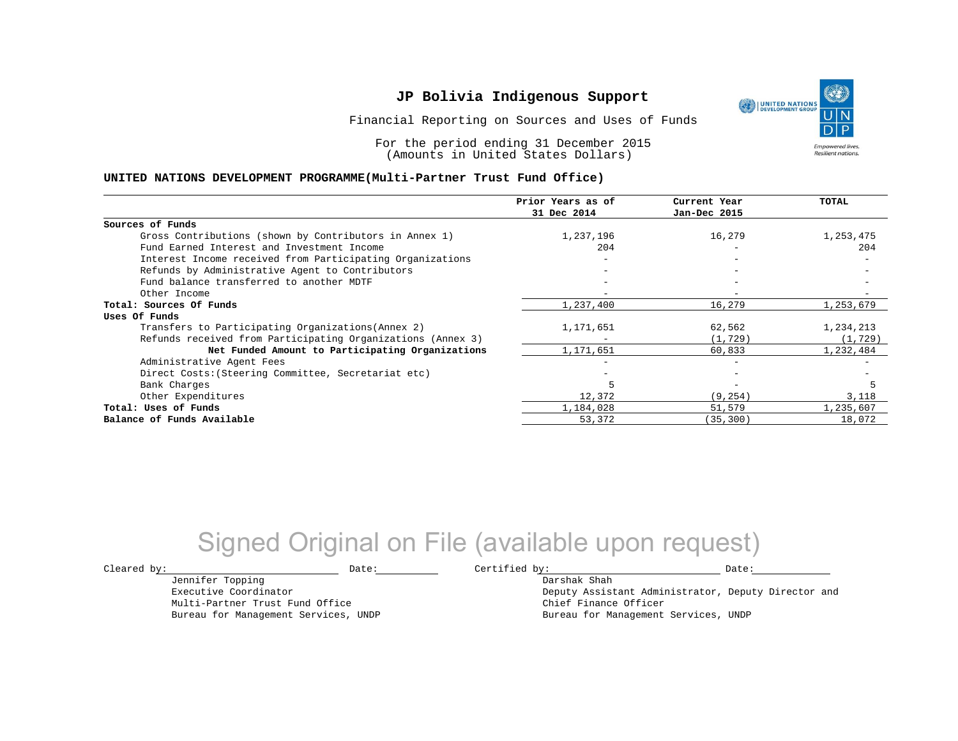Financial Reporting on Sources and Uses of Funds

For the period ending 31 December 2015 (Amounts in United States Dollars)

#### **UNITED NATIONS DEVELOPMENT PROGRAMME(Multi-Partner Trust Fund Office)**

|                                                             | Prior Years as of | Current Year             | TOTAL     |
|-------------------------------------------------------------|-------------------|--------------------------|-----------|
|                                                             | 31 Dec 2014       | Jan-Dec 2015             |           |
| Sources of Funds                                            |                   |                          |           |
| Gross Contributions (shown by Contributors in Annex 1)      | 1,237,196         | 16,279                   | 1,253,475 |
| Fund Earned Interest and Investment Income                  | 204               |                          | 204       |
| Interest Income received from Participating Organizations   |                   | $\overline{\phantom{m}}$ |           |
| Refunds by Administrative Agent to Contributors             |                   | $\qquad \qquad -$        |           |
| Fund balance transferred to another MDTF                    |                   |                          |           |
| Other Income                                                |                   |                          |           |
| Total: Sources Of Funds                                     | 1,237,400         | 16,279                   | 1,253,679 |
| Uses Of Funds                                               |                   |                          |           |
| Transfers to Participating Organizations (Annex 2)          | 1,171,651         | 62,562                   | 1,234,213 |
| Refunds received from Participating Organizations (Annex 3) |                   | (1, 729)                 | (1, 729)  |
| Net Funded Amount to Participating Organizations            | 1,171,651         | 60,833                   | 1,232,484 |
| Administrative Agent Fees                                   |                   | $\overline{\phantom{0}}$ |           |
| Direct Costs: (Steering Committee, Secretariat etc)         |                   | $-$                      |           |
| Bank Charges                                                | 5                 | $\overline{\phantom{m}}$ |           |
| Other Expenditures                                          | 12,372            | (9, 254)                 | 3,118     |
| Total: Uses of Funds                                        | 1,184,028         | 51,579                   | 1,235,607 |
| Balance of Funds Available                                  | 53,372            | (35, 300)                | 18,072    |
|                                                             |                   |                          |           |

## Signed Original on File (available upon request)

Jennifer Topping Executive Coordinator Multi-Partner Trust Fund Office Bureau for Management Services, UNDP

 $\texttt{Cleared by:}\footnotesize \begin{minipage}{0.9\linewidth} \texttt{Date:}\footnotesize \begin{minipage}{0.9\linewidth} \texttt{Date:}\footnotesize \begin{minipage}{0.9\linewidth} \end{minipage} \end{minipage}$ 

Darshak Shah Deputy Assistant Administrator, Deputy Director and Chief Finance Officer Bureau for Management Services, UNDP

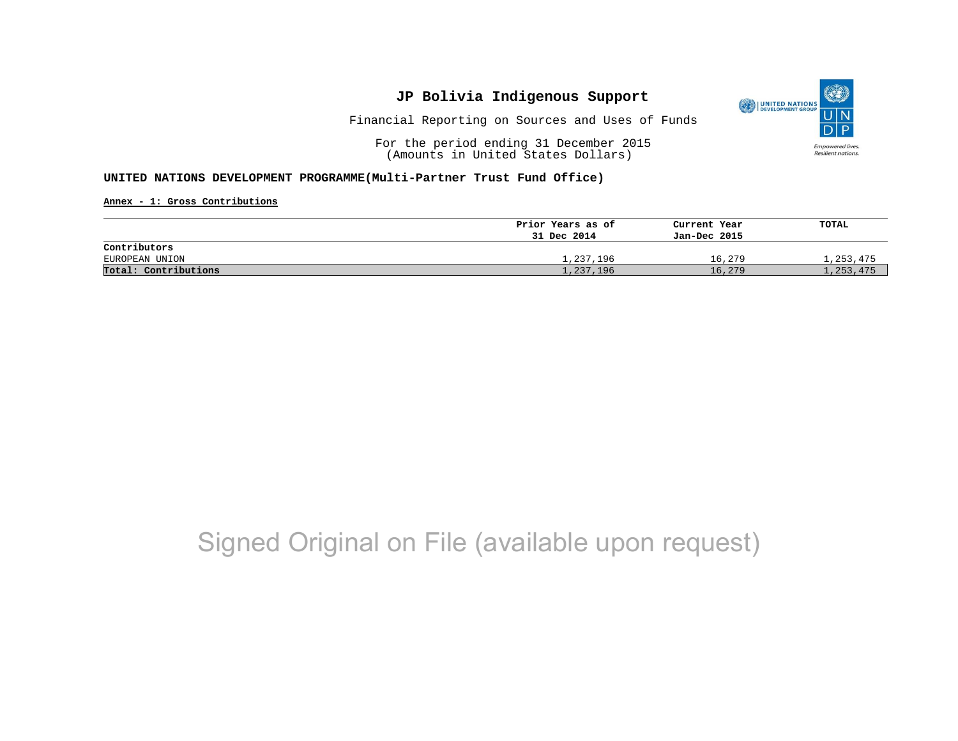

Financial Reporting on Sources and Uses of Funds

For the period ending 31 December 2015 (Amounts in United States Dollars)

### **UNITED NATIONS DEVELOPMENT PROGRAMME(Multi-Partner Trust Fund Office)**

**Annex - 1: Gross Contributions**

|                      | Prior Years as of | Current Year | TOTAL     |
|----------------------|-------------------|--------------|-----------|
|                      | 31 Dec 2014       | Jan-Dec 2015 |           |
| Contributors         |                   |              |           |
| EUROPEAN UNION       | 1,237,196         | 16,279       | 1,253,475 |
| Total: Contributions | 1,237,196         | 16,279       | 1,253,475 |

# Signed Original on File (available upon request)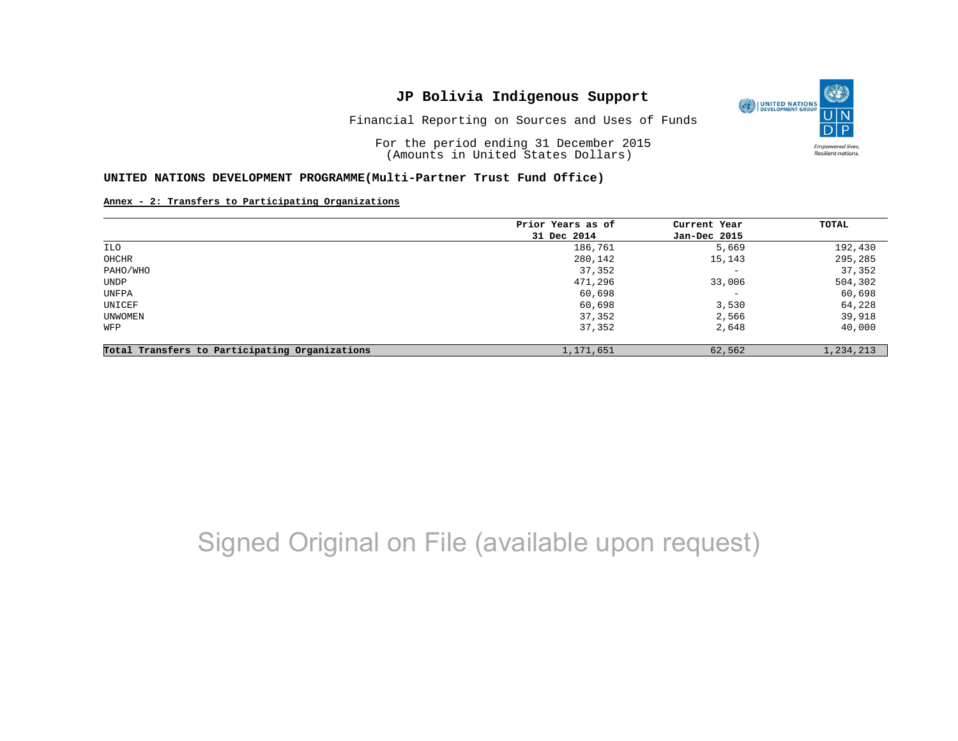Financial Reporting on Sources and Uses of Funds

For the period ending 31 December 2015 (Amounts in United States Dollars)

#### **UNITED NATIONS DEVELOPMENT PROGRAMME(Multi-Partner Trust Fund Office)**

**Annex - 2: Transfers to Participating Organizations**

|                                                | Prior Years as of | Current Year             | TOTAL     |
|------------------------------------------------|-------------------|--------------------------|-----------|
|                                                | 31 Dec 2014       | Jan-Dec 2015             |           |
| ILO                                            | 186,761           | 5,669                    | 192,430   |
| OHCHR                                          | 280,142           | 15,143                   | 295,285   |
| PAHO/WHO                                       | 37,352            | $\qquad \qquad -$        | 37,352    |
| UNDP                                           | 471,296           | 33,006                   | 504,302   |
| UNFPA                                          | 60,698            | $\overline{\phantom{m}}$ | 60,698    |
| UNICEF                                         | 60,698            | 3,530                    | 64,228    |
| UNWOMEN                                        | 37,352            | 2,566                    | 39,918    |
| WFP                                            | 37,352            | 2,648                    | 40,000    |
| Total Transfers to Participating Organizations | 1,171,651         | 62,562                   | 1,234,213 |

## Signed Original on File (available upon request)